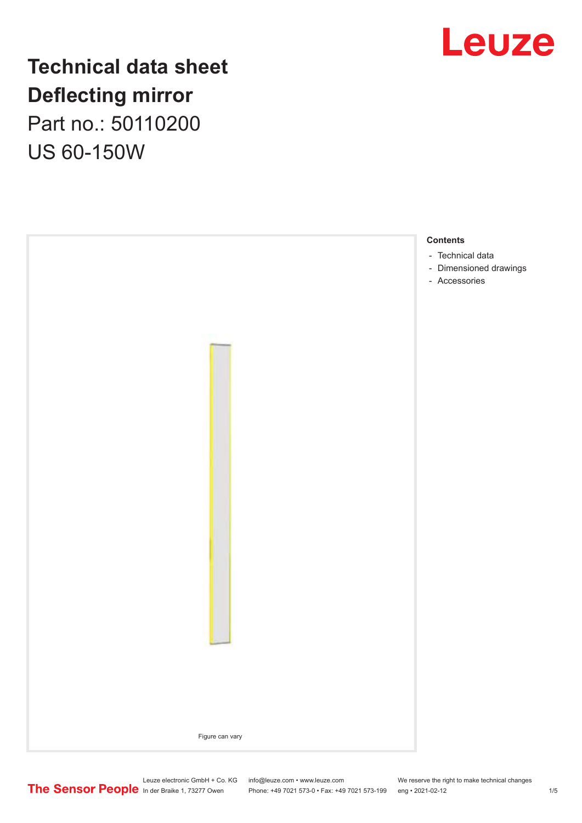

## **Technical data sheet Deflecting mirror**

Part no.: 50110200 US 60-150W

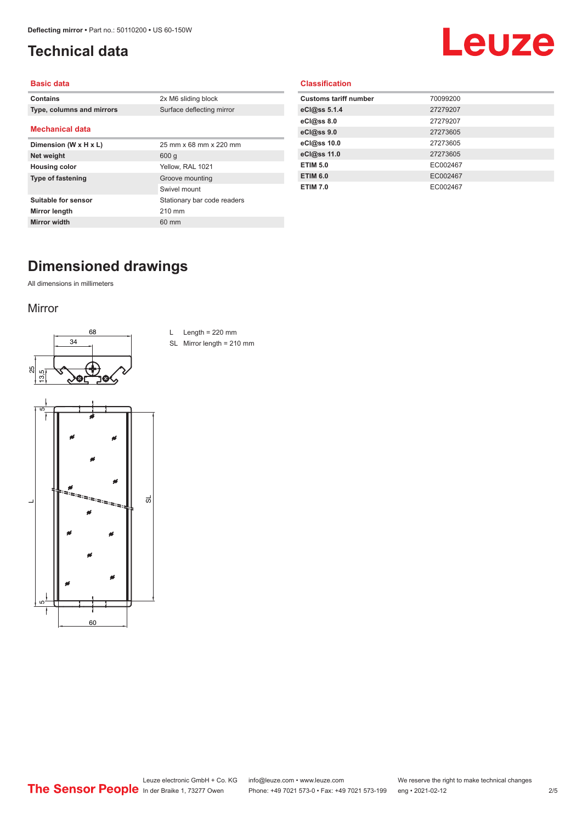## <span id="page-1-0"></span>**Technical data**

# Leuze

#### **Basic data**

| <b>Contains</b>           | 2x M6 sliding block         |
|---------------------------|-----------------------------|
| Type, columns and mirrors | Surface deflecting mirror   |
| <b>Mechanical data</b>    |                             |
| Dimension (W x H x L)     | 25 mm x 68 mm x 220 mm      |
| Net weight                | 600q                        |
| <b>Housing color</b>      | Yellow, RAL 1021            |
| <b>Type of fastening</b>  | Groove mounting             |
|                           | Swivel mount                |
| Suitable for sensor       | Stationary bar code readers |
| Mirror length             | 210 mm                      |
| <b>Mirror width</b>       | 60 mm                       |

#### **Classification**

| <b>Customs tariff number</b> | 70099200 |
|------------------------------|----------|
| eCl@ss 5.1.4                 | 27279207 |
| eC <sub>1</sub> @ss 8.0      | 27279207 |
| eCl@ss 9.0                   | 27273605 |
| eCl@ss 10.0                  | 27273605 |
| eCl@ss 11.0                  | 27273605 |
| <b>ETIM 5.0</b>              | EC002467 |
| <b>ETIM 6.0</b>              | EC002467 |
| <b>ETIM 7.0</b>              | EC002467 |

## **Dimensioned drawings**

All dimensions in millimeters

#### Mirror





L Length =  $220$  mm

SL Mirror length = 210 mm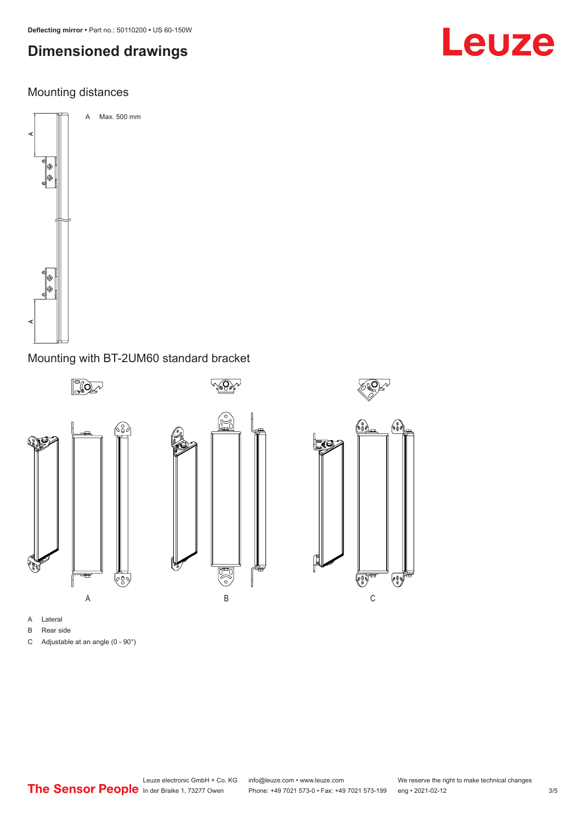## **Dimensioned drawings**

#### Mounting distances



#### Mounting with BT-2UM60 standard bracket



- A Lateral
- B Rear side
- C Adjustable at an angle (0 90°)

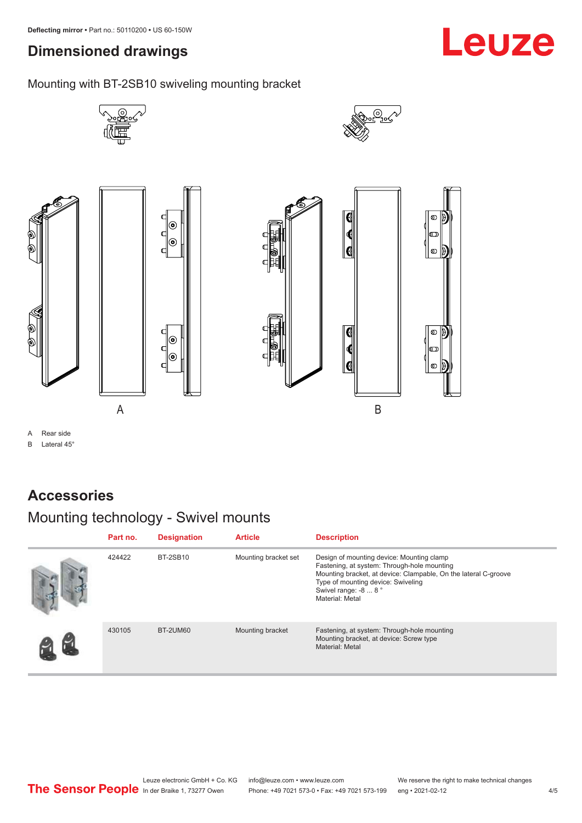## <span id="page-3-0"></span>**Dimensioned drawings**

Mounting with BT-2SB10 swiveling mounting bracket



A B

A Rear side

B Lateral 45°

#### **Accessories**

## Mounting technology - Swivel mounts

| Part no. | <b>Designation</b> | <b>Article</b>       | <b>Description</b>                                                                                                                                                                                                                            |
|----------|--------------------|----------------------|-----------------------------------------------------------------------------------------------------------------------------------------------------------------------------------------------------------------------------------------------|
| 424422   | <b>BT-2SB10</b>    | Mounting bracket set | Design of mounting device: Mounting clamp<br>Fastening, at system: Through-hole mounting<br>Mounting bracket, at device: Clampable, On the lateral C-groove<br>Type of mounting device: Swiveling<br>Swivel range: -8  8 °<br>Material: Metal |
| 430105   | <b>BT-2UM60</b>    | Mounting bracket     | Fastening, at system: Through-hole mounting<br>Mounting bracket, at device: Screw type<br>Material: Metal                                                                                                                                     |